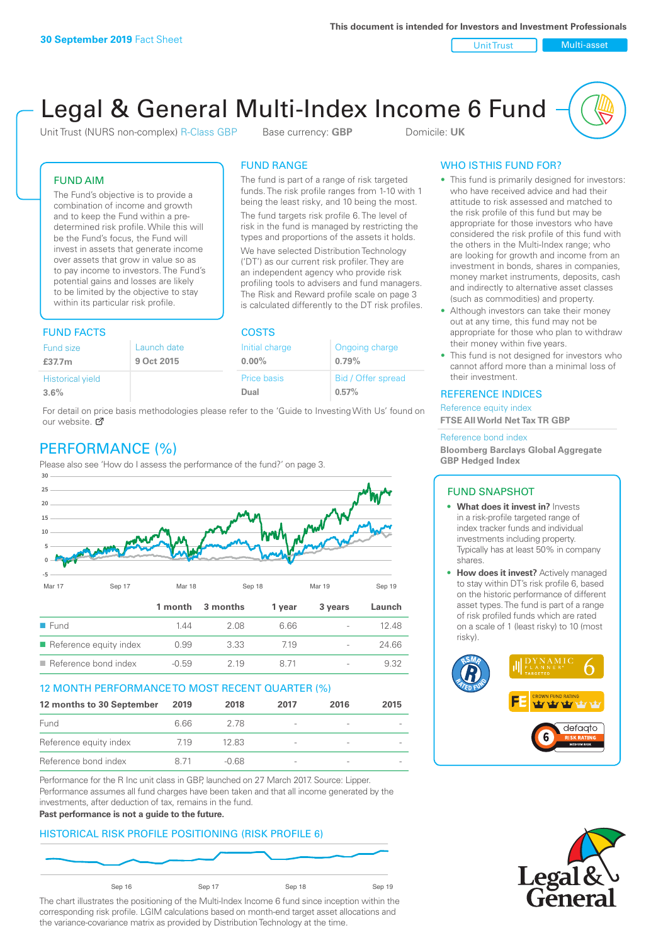Unit Trust Nulti-asset

# Legal & General Multi-Index Income 6 Fund

Unit Trust (NURS non-complex) R-Class GBP Base currency: **GBP** Domicile: UK

The fund is part of a range of risk targeted funds. The risk profile ranges from 1-10 with 1 being the least risky, and 10 being the most. The fund targets risk profile 6. The level of risk in the fund is managed by restricting the types and proportions of the assets it holds. We have selected Distribution Technology ('DT') as our current risk profiler. They are an independent agency who provide risk profiling tools to advisers and fund managers. The Risk and Reward profile scale on page 3 is calculated differently to the DT risk profiles.

FUND RANGE

## FUND AIM

The Fund's objective is to provide a combination of income and growth and to keep the Fund within a predetermined risk profile. While this will be the Fund's focus, the Fund will invest in assets that generate income over assets that grow in value so as to pay income to investors. The Fund's potential gains and losses are likely to be limited by the objective to stay within its particular risk profile.

## FUND FACTS COSTS

| .                                                |  | -----                      |                             |  |
|--------------------------------------------------|--|----------------------------|-----------------------------|--|
| Launch date<br>Fund size<br>9 Oct 2015<br>£37.7m |  | Initial charge<br>$0.00\%$ | Ongoing charge<br>0.79%     |  |
| <b>Historical yield</b><br>3.6%                  |  | Price basis<br>Dual        | Bid / Offer spread<br>0.57% |  |

For detail on price basis methodologies please refer to the 'Guide to Investing With Us' found on our website. Ø

# PERFORMANCE (%)

Please also see 'How do I assess the performance of the fund?' on page 3.



### 12 MONTH PERFORMANCE TO MOST RECENT QUARTER (%)

| 12 months to 30 September | 2019 | 2018  | 2017            | 2016 | 2015 |
|---------------------------|------|-------|-----------------|------|------|
| Fund                      | 6.66 | 278   | $\qquad \qquad$ |      |      |
| Reference equity index    | 719  | 12.83 | -               |      |      |
| Reference bond index      | 871  | -0.68 |                 |      |      |

Performance for the R Inc unit class in GBP, launched on 27 March 2017. Source: Lipper. Performance assumes all fund charges have been taken and that all income generated by the investments, after deduction of tax, remains in the fund.

#### **Past performance is not a guide to the future.**

## HISTORICAL RISK PROFILE POSITIONING (RISK PROFILE 6)



The chart illustrates the positioning of the Multi-Index Income 6 fund since inception within the corresponding risk profile. LGIM calculations based on month-end target asset allocations and the variance-covariance matrix as provided by Distribution Technology at the time.

## WHO IS THIS FUND FOR?

- This fund is primarily designed for investors: who have received advice and had their attitude to risk assessed and matched to the risk profile of this fund but may be appropriate for those investors who have considered the risk profile of this fund with the others in the Multi-Index range; who are looking for growth and income from an investment in bonds, shares in companies, money market instruments, deposits, cash and indirectly to alternative asset classes (such as commodities) and property.
- Although investors can take their money out at any time, this fund may not be appropriate for those who plan to withdraw their money within five years.
- This fund is not designed for investors who cannot afford more than a minimal loss of their investment.

### REFERENCE INDICES

Reference equity index **FTSE All World Net Tax TR GBP**

#### Reference bond index

**Bloomberg Barclays Global Aggregate GBP Hedged Index**

### FUND SNAPSHOT

- **• What does it invest in?** Invests in a risk-profile targeted range of index tracker funds and individual investments including property. Typically has at least 50% in company shares.
- **• How does it invest?** Actively managed to stay within DT's risk profile 6, based on the historic performance of different asset types. The fund is part of a range of risk profiled funds which are rated on a scale of 1 (least risky) to 10 (most risky).



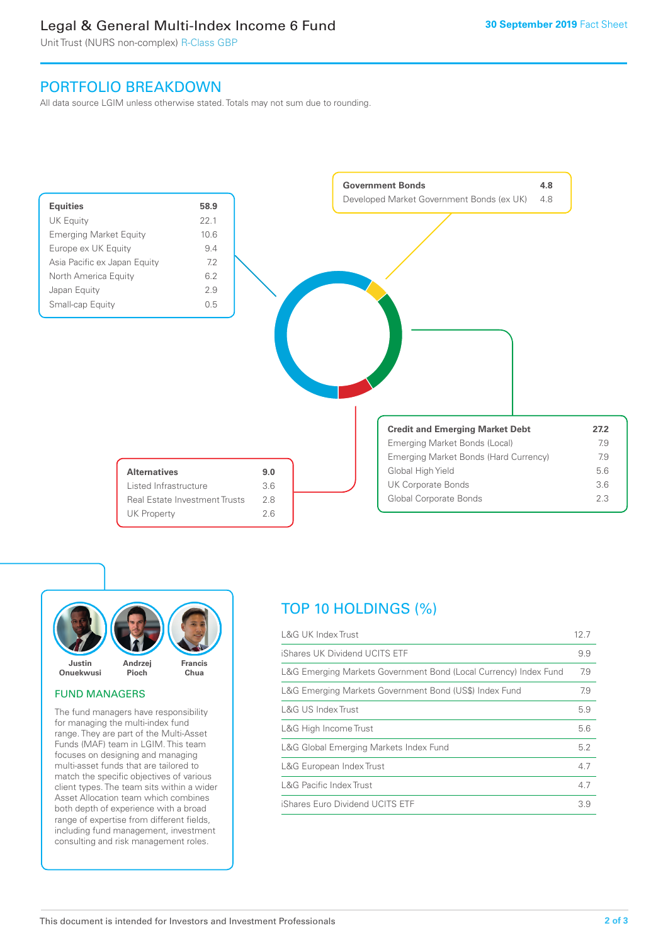# Legal & General Multi-Index Income 6 Fund

Unit Trust (NURS non-complex) R-Class GBP

# PORTFOLIO BREAKDOWN

All data source LGIM unless otherwise stated. Totals may not sum due to rounding.





### FUND MANAGERS

The fund managers have responsibility for managing the multi-index fund range. They are part of the Multi-Asset Funds (MAF) team in LGIM. This team focuses on designing and managing multi-asset funds that are tailored to match the specific objectives of various client types. The team sits within a wider Asset Allocation team which combines both depth of experience with a broad range of expertise from different fields, including fund management, investment consulting and risk management roles.

# TOP 10 HOLDINGS (%)

| <b>L&amp;G UK Index Trust</b>                                    | 12.7 |
|------------------------------------------------------------------|------|
| iShares UK Dividend UCITS ETF                                    | 9.9  |
| L&G Emerging Markets Government Bond (Local Currency) Index Fund | 7.9  |
| L&G Emerging Markets Government Bond (US\$) Index Fund           | 7.9  |
| <b>L&amp;G US Index Trust</b>                                    | 5.9  |
| L&G High Income Trust                                            | 5.6  |
| L&G Global Emerging Markets Index Fund                           | 5.2  |
| L&G European Index Trust                                         | 4.7  |
| <b>L&amp;G Pacific Index Trust</b>                               | 4.7  |
| iShares Euro Dividend UCITS ETF                                  | 3.9  |